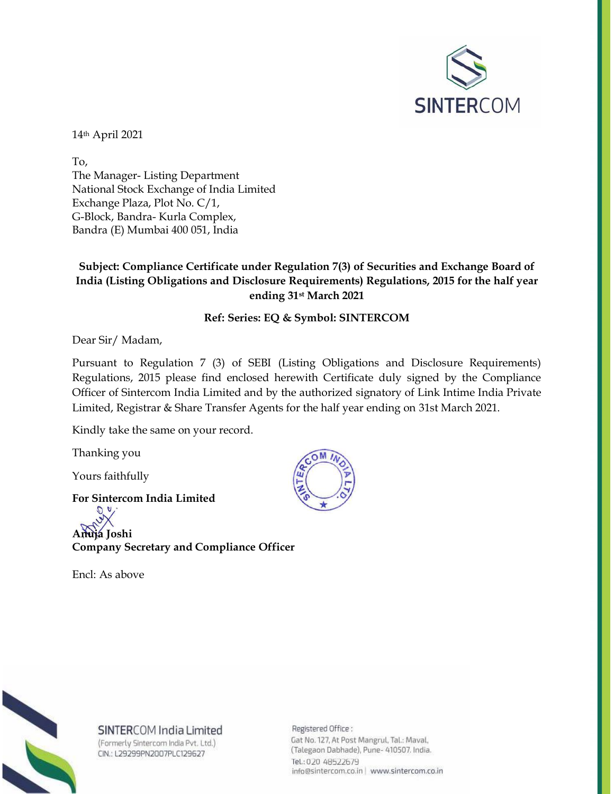

14th April 2021

To, The Manager- Listing Department National Stock Exchange of India Limited Exchange Plaza, Plot No. C/1, G-Block, Bandra- Kurla Complex, Bandra (E) Mumbai 400 051, India

## **Subject: Compliance Certificate under Regulation 7(3) of Securities and Exchange Board of India (Listing Obligations and Disclosure Requirements) Regulations, 2015 for the half year ending 31st March 2021**

## **Ref: Series: EQ & Symbol: SINTERCOM**

Dear Sir/ Madam,

Pursuant to Regulation 7 (3) of SEBI (Listing Obligations and Disclosure Requirements) Regulations, 2015 please find enclosed herewith Certificate duly signed by the Compliance Officer of Sintercom India Limited and by the authorized signatory of Link Intime India Private Limited, Registrar & Share Transfer Agents for the half year ending on 31st March 2021.

Kindly take the same on your record.

Thanking you

Yours faithfully

**For Sintercom India Limited Anuja Joshi Company Secretary and Compliance Officer**

Encl: As above





SINTERCOM India Limited (Formerly Sintercom India Pvt. Ltd.)

CIN.: L29299PN2007PLC129627

Registered Office: Gat No. 127, At Post Mangrul, Tal.: Maval, (Talegaon Dabhade), Pune- 410507. India. Tel.: 020 48522679 info@sintercom.co.in | www.sintercom.co.in